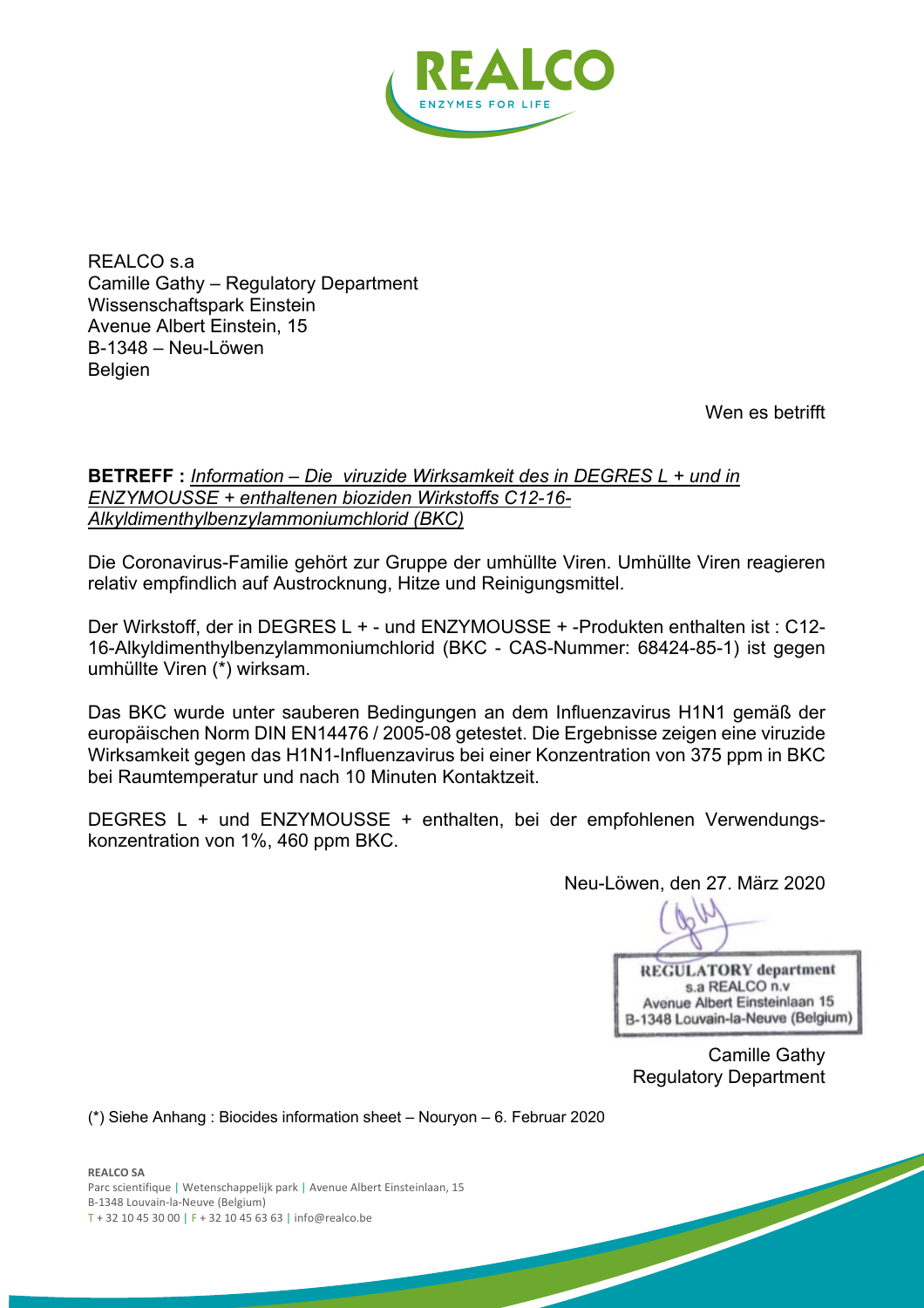

REALCO s.a Camille Gathy – Regulatory Department Wissenschaftspark Einstein Avenue Albert Einstein, 15 B-1348 – Neu-Löwen **Belgien** 

Wen es betrifft

### **BETREFF :** *Information – Die viruzide Wirksamkeit des in DEGRES L + und in ENZYMOUSSE + enthaltenen bioziden Wirkstoffs C12-16- Alkyldimenthylbenzylammoniumchlorid (BKC)*

Die Coronavirus-Familie gehört zur Gruppe der umhüllte Viren. Umhüllte Viren reagieren relativ empfindlich auf Austrocknung, Hitze und Reinigungsmittel.

Der Wirkstoff, der in DEGRES L + - und ENZYMOUSSE + -Produkten enthalten ist : C12- 16-Alkyldimenthylbenzylammoniumchlorid (BKC - CAS-Nummer: 68424-85-1) ist gegen umhüllte Viren (\*) wirksam.

Das BKC wurde unter sauberen Bedingungen an dem Influenzavirus H1N1 gemäß der europäischen Norm DIN EN14476 / 2005-08 getestet. Die Ergebnisse zeigen eine viruzide Wirksamkeit gegen das H1N1-Influenzavirus bei einer Konzentration von 375 ppm in BKC bei Raumtemperatur und nach 10 Minuten Kontaktzeit.

DEGRES L + und ENZYMOUSSE + enthalten, bei der empfohlenen Verwendungskonzentration von 1%, 460 ppm BKC.

Neu-Löwen, den 27. März 2020

**REGULATORY** department s.a REALCO n.v Avenue Albert Einsteinlaan 15 B-1348 Louvain-la-Neuve (Belgium)

Camille Gathy Regulatory Department

(\*) Siehe Anhang : Biocides information sheet – Nouryon – 6. Februar 2020

**REALCO SA** Parc scientifique | Wetenschappelijk park | Avenue Albert Einsteinlaan, 15 B-1348 Louvain-la-Neuve (Belgium) T + 32 10 45 30 00 | F + 32 10 45 63 63 | info@realco.be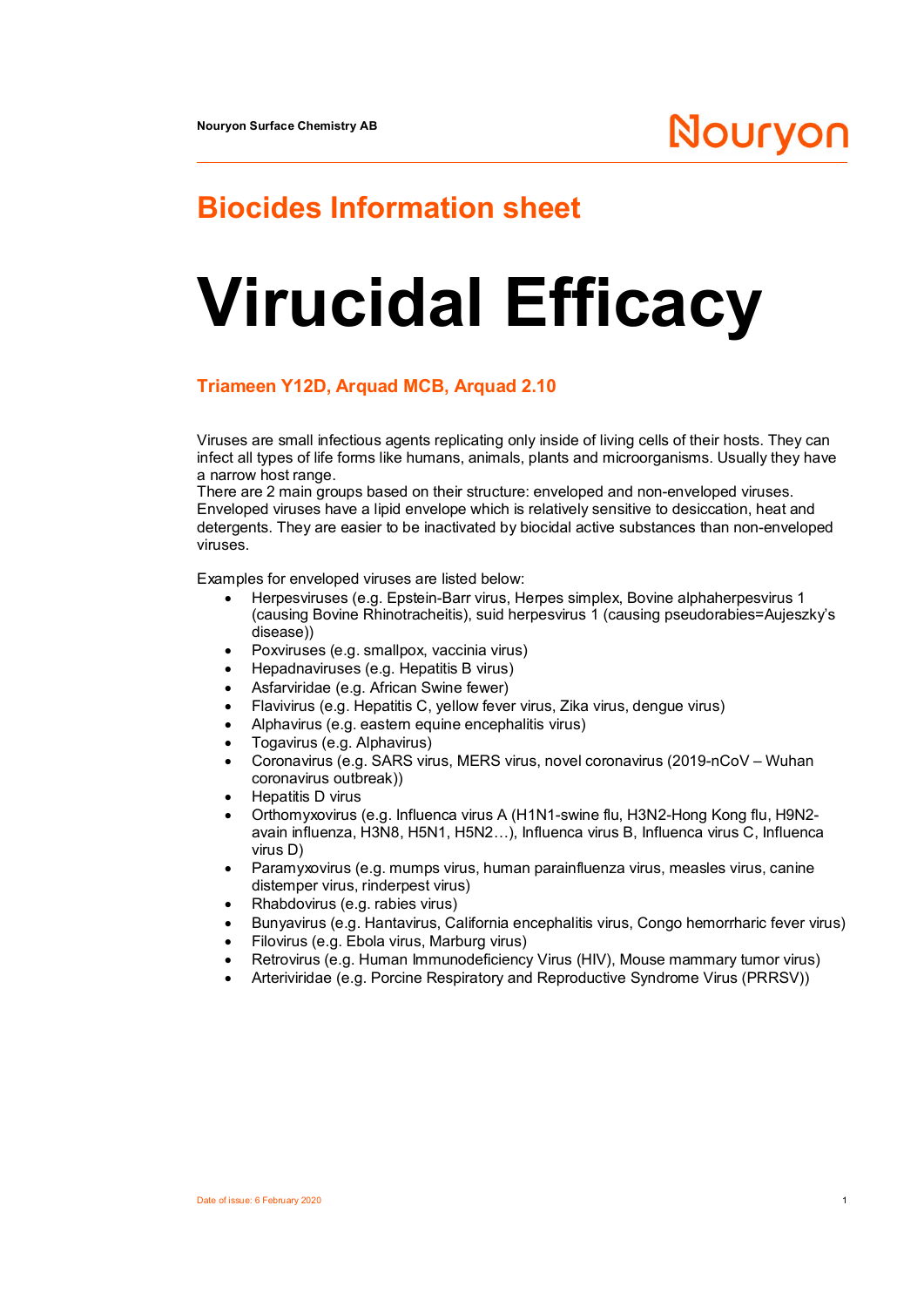## **Biocides Information sheet**

# **Virucidal Efficacy**

### **Triameen Y12D, Arquad MCB, Arquad 2.10**

Viruses are small infectious agents replicating only inside of living cells of their hosts. They can infect all types of life forms like humans, animals, plants and microorganisms. Usually they have a narrow host range.

There are 2 main groups based on their structure: enveloped and non-enveloped viruses. Enveloped viruses have a lipid envelope which is relatively sensitive to desiccation, heat and detergents. They are easier to be inactivated by biocidal active substances than non-enveloped viruses.

Examples for enveloped viruses are listed below:

- · Herpesviruses (e.g. Epstein-Barr virus, Herpes simplex, Bovine alphaherpesvirus 1 (causing Bovine Rhinotracheitis), suid herpesvirus 1 (causing pseudorabies=Aujeszky's disease))
- · Poxviruses (e.g. smallpox, vaccinia virus)
- · Hepadnaviruses (e.g. Hepatitis B virus)
- Asfarviridae (e.g. African Swine fewer)
- · Flavivirus (e.g. Hepatitis C, yellow fever virus, Zika virus, dengue virus)
- · Alphavirus (e.g. eastern equine encephalitis virus)
- · Togavirus (e.g. Alphavirus)
- · Coronavirus (e.g. SARS virus, MERS virus, novel coronavirus (2019-nCoV Wuhan coronavirus outbreak))
- · Hepatitis D virus
- · Orthomyxovirus (e.g. Influenca virus A (H1N1-swine flu, H3N2-Hong Kong flu, H9N2 avain influenza, H3N8, H5N1, H5N2…), Influenca virus B, Influenca virus C, Influenca virus D)
- Paramyxovirus (e.g. mumps virus, human parainfluenza virus, measles virus, canine distemper virus, rinderpest virus)
- · Rhabdovirus (e.g. rabies virus)
- · Bunyavirus (e.g. Hantavirus, California encephalitis virus, Congo hemorrharic fever virus)
- · Filovirus (e.g. Ebola virus, Marburg virus)
- Retrovirus (e.g. Human Immunodeficiency Virus (HIV), Mouse mammary tumor virus)
- · Arteriviridae (e.g. Porcine Respiratory and Reproductive Syndrome Virus (PRRSV))